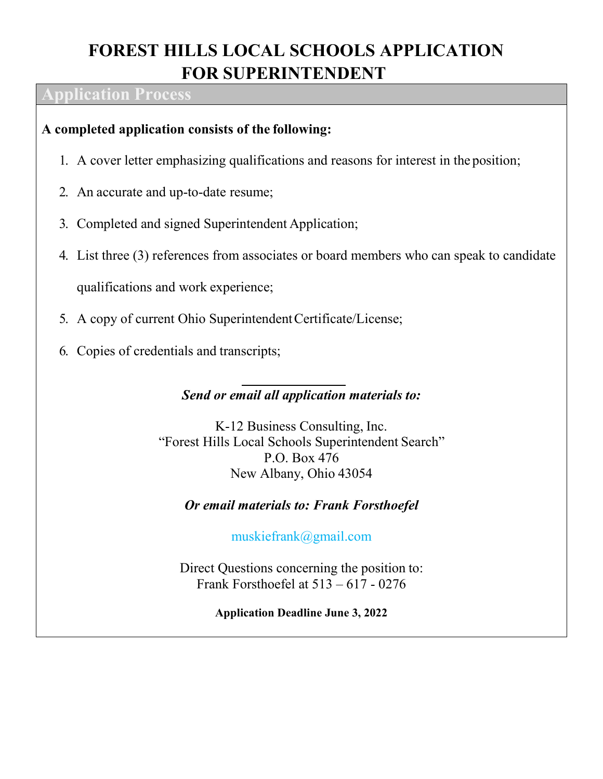## **FOREST HILLS LOCAL SCHOOLS APPLICATION FOR SUPERINTENDENT**

### **Application Process**

## **A completed application consists of the following:**

- 1. A cover letter emphasizing qualifications and reasons for interest in the position;
- 2. An accurate and up-to-date resume;
- 3. Completed and signed Superintendent Application;
- 4. List three (3) references from associates or board members who can speak to candidate

qualifications and work experience;

- 5. A copy of current Ohio Superintendent Certificate/License;
- 6. Copies of credentials and transcripts;

## *Send or email all application materials to:*

K-12 Business Consulting, Inc. "Forest Hills Local Schools Superintendent Search" P.O. Box 476 New Albany, Ohio 43054

## *Or email materials to: Frank Forsthoefel*

muskiefrank@gmail.com

Direct Questions concerning the position to: Frank Forsthoefel at 513 – 617 - 0276

**Application Deadline June 3, 2022**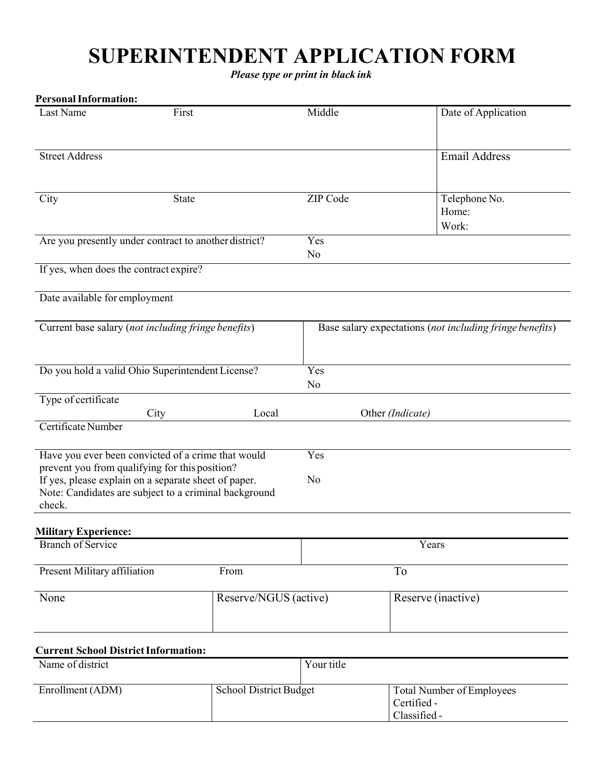# **SUPERINTENDENT APPLICATION FORM**

*Please type or print in black ink*

| <b>Personal Information:</b>                                                                                            |       |                       |                                                          |  |
|-------------------------------------------------------------------------------------------------------------------------|-------|-----------------------|----------------------------------------------------------|--|
| Last Name<br>First                                                                                                      |       | Middle                | Date of Application                                      |  |
| <b>Street Address</b>                                                                                                   |       |                       | <b>Email Address</b>                                     |  |
| City<br>State                                                                                                           |       | ZIP Code              | Telephone No.<br>Home:<br>Work:                          |  |
| Are you presently under contract to another district?                                                                   |       | Yes<br>N <sub>o</sub> |                                                          |  |
| If yes, when does the contract expire?                                                                                  |       |                       |                                                          |  |
| Date available for employment                                                                                           |       |                       |                                                          |  |
| Current base salary (not including fringe benefits)                                                                     |       |                       | Base salary expectations (not including fringe benefits) |  |
| Do you hold a valid Ohio Superintendent License?                                                                        |       | Yes<br>N <sub>o</sub> |                                                          |  |
| Type of certificate<br>City                                                                                             | Local |                       | Other (Indicate)                                         |  |
| Certificate Number                                                                                                      |       |                       |                                                          |  |
| Have you ever been convicted of a crime that would<br>prevent you from qualifying for this position?                    |       | Yes                   |                                                          |  |
| If yes, please explain on a separate sheet of paper.<br>Note: Candidates are subject to a criminal background<br>check. |       | No                    |                                                          |  |
| <b>Military Experience:</b>                                                                                             |       |                       |                                                          |  |
| <b>Branch of Service</b>                                                                                                |       | Years                 |                                                          |  |
| Present Military affiliation                                                                                            | From  |                       | To                                                       |  |
| None<br>Reserve/NGUS (active)                                                                                           |       |                       | Reserve (inactive)                                       |  |
| <b>Current School District Information:</b>                                                                             |       |                       |                                                          |  |
| Name of district                                                                                                        |       | Your title            |                                                          |  |

| Enrollment (ADM) | School District Budget | <b>Total Number of Employees</b> |
|------------------|------------------------|----------------------------------|
|                  |                        | Certified -                      |
|                  |                        | Classified -                     |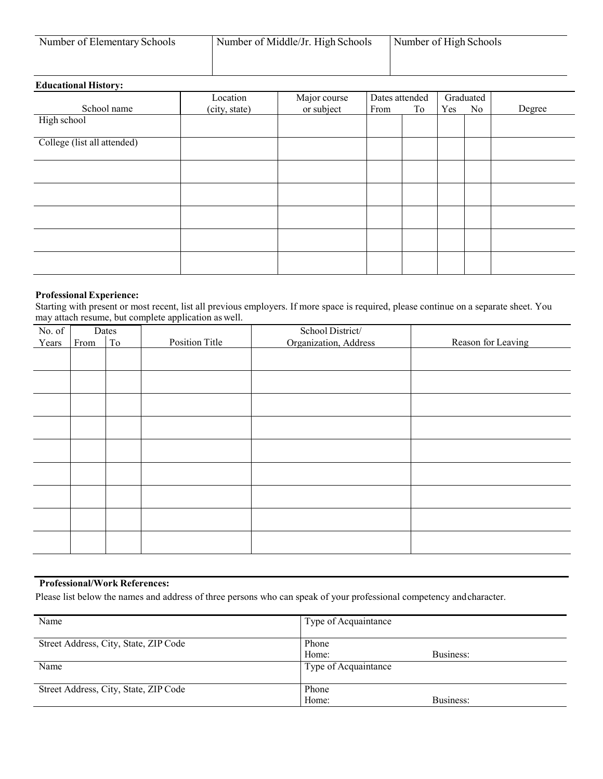| Number of Elementary Schools | Number of Middle/Jr. High Schools | Number of High Schools |
|------------------------------|-----------------------------------|------------------------|
|                              |                                   |                        |

### **Educational History:**

|                             | Location      | Major course | Dates attended |    |     | Graduated |        |
|-----------------------------|---------------|--------------|----------------|----|-----|-----------|--------|
| School name                 | (city, state) | or subject   | From           | To | Yes | No        | Degree |
| High school                 |               |              |                |    |     |           |        |
| College (list all attended) |               |              |                |    |     |           |        |
|                             |               |              |                |    |     |           |        |
|                             |               |              |                |    |     |           |        |
|                             |               |              |                |    |     |           |        |
|                             |               |              |                |    |     |           |        |
|                             |               |              |                |    |     |           |        |

#### **Professional Experience:**

Starting with present or most recent, list all previous employers. If more space is required, please continue on a separate sheet. You may attach resume, but complete application as well.

| No. of |      | Dates |                | School District/      |                    |
|--------|------|-------|----------------|-----------------------|--------------------|
| Years  | From | To    | Position Title | Organization, Address | Reason for Leaving |
|        |      |       |                |                       |                    |
|        |      |       |                |                       |                    |
|        |      |       |                |                       |                    |
|        |      |       |                |                       |                    |
|        |      |       |                |                       |                    |
|        |      |       |                |                       |                    |
|        |      |       |                |                       |                    |
|        |      |       |                |                       |                    |
|        |      |       |                |                       |                    |
|        |      |       |                |                       |                    |
|        |      |       |                |                       |                    |
|        |      |       |                |                       |                    |
|        |      |       |                |                       |                    |
|        |      |       |                |                       |                    |
|        |      |       |                |                       |                    |
|        |      |       |                |                       |                    |
|        |      |       |                |                       |                    |
|        |      |       |                |                       |                    |

### **Professional/Work References:**

Please list below the names and address of three persons who can speak of your professional competency andcharacter.

| Name                                  | Type of Acquaintance |  |
|---------------------------------------|----------------------|--|
| Street Address, City, State, ZIP Code | Phone                |  |
|                                       | Home:<br>Business:   |  |
| Name                                  | Type of Acquaintance |  |
| Street Address, City, State, ZIP Code | Phone                |  |
|                                       | Business:<br>Home:   |  |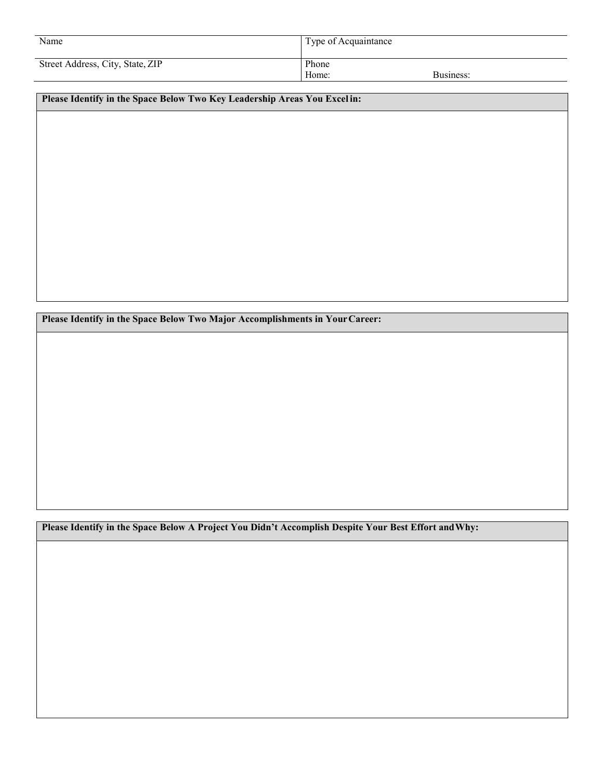| Name                             | <sup>1</sup> Type of Acquaintance |           |
|----------------------------------|-----------------------------------|-----------|
| Street Address, City, State, ZIP | Phone<br>Home:                    | Business: |

**Please Identify in the Space Below Two Key Leadership Areas You Excel in:**

**Please Identify in the Space Below Two Major Accomplishments in YourCareer:**

**Please Identify in the Space Below A Project You Didn't Accomplish Despite Your Best Effort andWhy:**